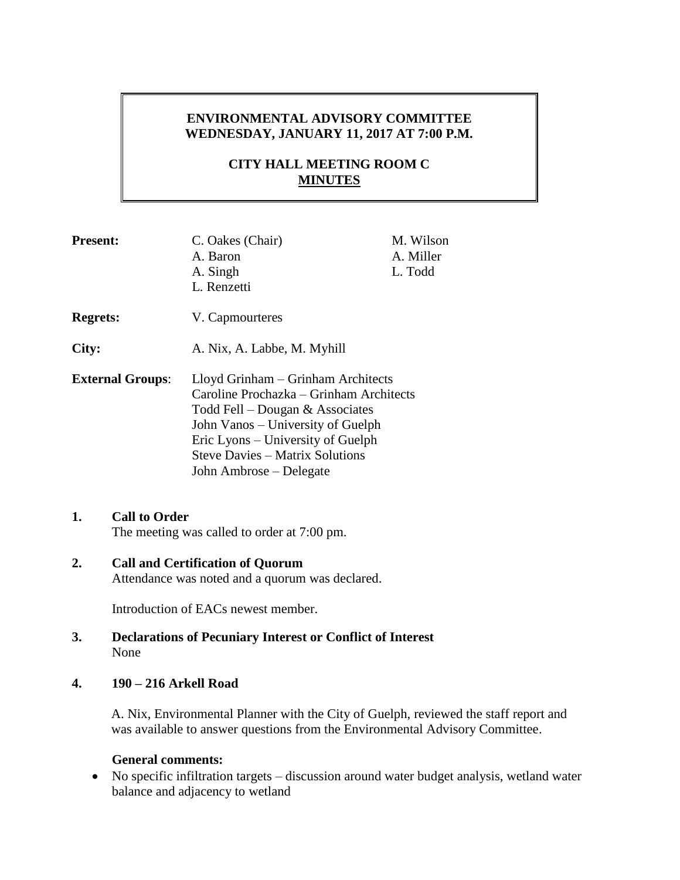# **ENVIRONMENTAL ADVISORY COMMITTEE WEDNESDAY, JANUARY 11, 2017 AT 7:00 P.M.**

# **CITY HALL MEETING ROOM C MINUTES**

| <b>Present:</b>         | C. Oakes (Chair)<br>A. Baron<br>A. Singh<br>L. Renzetti                                                                                                                                                                                                           | M. Wilson<br>A. Miller<br>L. Todd |
|-------------------------|-------------------------------------------------------------------------------------------------------------------------------------------------------------------------------------------------------------------------------------------------------------------|-----------------------------------|
| <b>Regrets:</b>         | V. Capmourteres                                                                                                                                                                                                                                                   |                                   |
| City:                   | A. Nix, A. Labbe, M. Myhill                                                                                                                                                                                                                                       |                                   |
| <b>External Groups:</b> | Lloyd Grinham – Grinham Architects<br>Caroline Prochazka – Grinham Architects<br>Todd Fell – Dougan $&$ Associates<br>John Vanos – University of Guelph<br>Eric Lyons – University of Guelph<br><b>Steve Davies – Matrix Solutions</b><br>John Ambrose – Delegate |                                   |

## **1. Call to Order**

The meeting was called to order at 7:00 pm.

# **2. Call and Certification of Quorum** Attendance was noted and a quorum was declared.

Introduction of EACs newest member.

## **3. Declarations of Pecuniary Interest or Conflict of Interest** None

## **4. 190 – 216 Arkell Road**

A. Nix, Environmental Planner with the City of Guelph, reviewed the staff report and was available to answer questions from the Environmental Advisory Committee.

## **General comments:**

 No specific infiltration targets – discussion around water budget analysis, wetland water balance and adjacency to wetland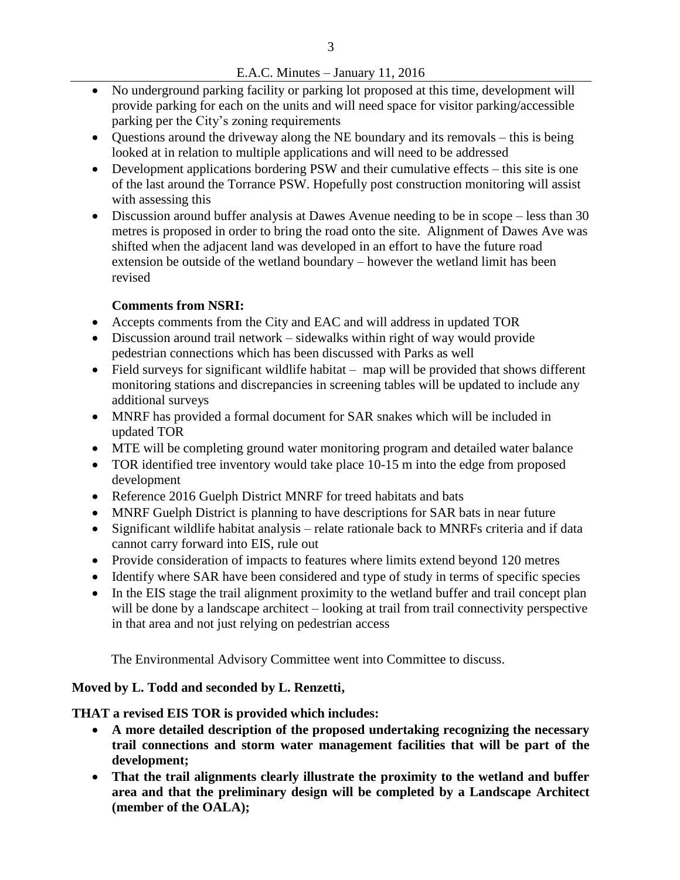## E.A.C. Minutes – January 11, 2016

- No underground parking facility or parking lot proposed at this time, development will provide parking for each on the units and will need space for visitor parking/accessible parking per the City's zoning requirements
- Questions around the driveway along the NE boundary and its removals this is being looked at in relation to multiple applications and will need to be addressed
- Development applications bordering PSW and their cumulative effects this site is one of the last around the Torrance PSW. Hopefully post construction monitoring will assist with assessing this
- Discussion around buffer analysis at Dawes Avenue needing to be in scope less than 30 metres is proposed in order to bring the road onto the site. Alignment of Dawes Ave was shifted when the adjacent land was developed in an effort to have the future road extension be outside of the wetland boundary – however the wetland limit has been revised

# **Comments from NSRI:**

- Accepts comments from the City and EAC and will address in updated TOR
- Discussion around trail network sidewalks within right of way would provide pedestrian connections which has been discussed with Parks as well
- Field surveys for significant wildlife habitat map will be provided that shows different monitoring stations and discrepancies in screening tables will be updated to include any additional surveys
- MNRF has provided a formal document for SAR snakes which will be included in updated TOR
- MTE will be completing ground water monitoring program and detailed water balance
- TOR identified tree inventory would take place 10-15 m into the edge from proposed development
- Reference 2016 Guelph District MNRF for treed habitats and bats
- MNRF Guelph District is planning to have descriptions for SAR bats in near future
- Significant wildlife habitat analysis relate rationale back to MNRFs criteria and if data cannot carry forward into EIS, rule out
- Provide consideration of impacts to features where limits extend beyond 120 metres
- Identify where SAR have been considered and type of study in terms of specific species
- In the EIS stage the trail alignment proximity to the wetland buffer and trail concept plan will be done by a landscape architect – looking at trail from trail connectivity perspective in that area and not just relying on pedestrian access

The Environmental Advisory Committee went into Committee to discuss.

# **Moved by L. Todd and seconded by L. Renzetti,**

**THAT a revised EIS TOR is provided which includes:**

- **A more detailed description of the proposed undertaking recognizing the necessary trail connections and storm water management facilities that will be part of the development;**
- **That the trail alignments clearly illustrate the proximity to the wetland and buffer area and that the preliminary design will be completed by a Landscape Architect (member of the OALA);**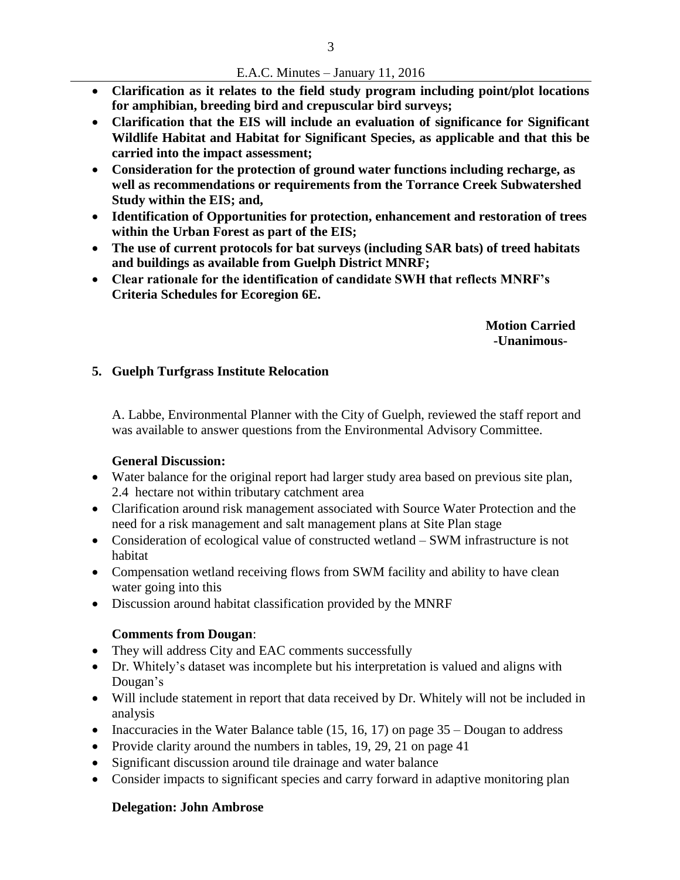#### E.A.C. Minutes – January 11, 2016

- **Clarification as it relates to the field study program including point/plot locations for amphibian, breeding bird and crepuscular bird surveys;**
- **Clarification that the EIS will include an evaluation of significance for Significant Wildlife Habitat and Habitat for Significant Species, as applicable and that this be carried into the impact assessment;**
- **Consideration for the protection of ground water functions including recharge, as well as recommendations or requirements from the Torrance Creek Subwatershed Study within the EIS; and,**
- **Identification of Opportunities for protection, enhancement and restoration of trees within the Urban Forest as part of the EIS;**
- **The use of current protocols for bat surveys (including SAR bats) of treed habitats and buildings as available from Guelph District MNRF;**
- **Clear rationale for the identification of candidate SWH that reflects MNRF's Criteria Schedules for Ecoregion 6E.**

**Motion Carried -Unanimous-**

## **5. Guelph Turfgrass Institute Relocation**

A. Labbe, Environmental Planner with the City of Guelph, reviewed the staff report and was available to answer questions from the Environmental Advisory Committee.

## **General Discussion:**

- Water balance for the original report had larger study area based on previous site plan, 2.4 hectare not within tributary catchment area
- Clarification around risk management associated with Source Water Protection and the need for a risk management and salt management plans at Site Plan stage
- Consideration of ecological value of constructed wetland SWM infrastructure is not habitat
- Compensation wetland receiving flows from SWM facility and ability to have clean water going into this
- Discussion around habitat classification provided by the MNRF

# **Comments from Dougan**:

- They will address City and EAC comments successfully
- Dr. Whitely's dataset was incomplete but his interpretation is valued and aligns with Dougan's
- Will include statement in report that data received by Dr. Whitely will not be included in analysis
- Inaccuracies in the Water Balance table  $(15, 16, 17)$  on page  $35 -$ Dougan to address
- Provide clarity around the numbers in tables,  $19, 29, 21$  on page 41
- Significant discussion around tile drainage and water balance
- Consider impacts to significant species and carry forward in adaptive monitoring plan

# **Delegation: John Ambrose**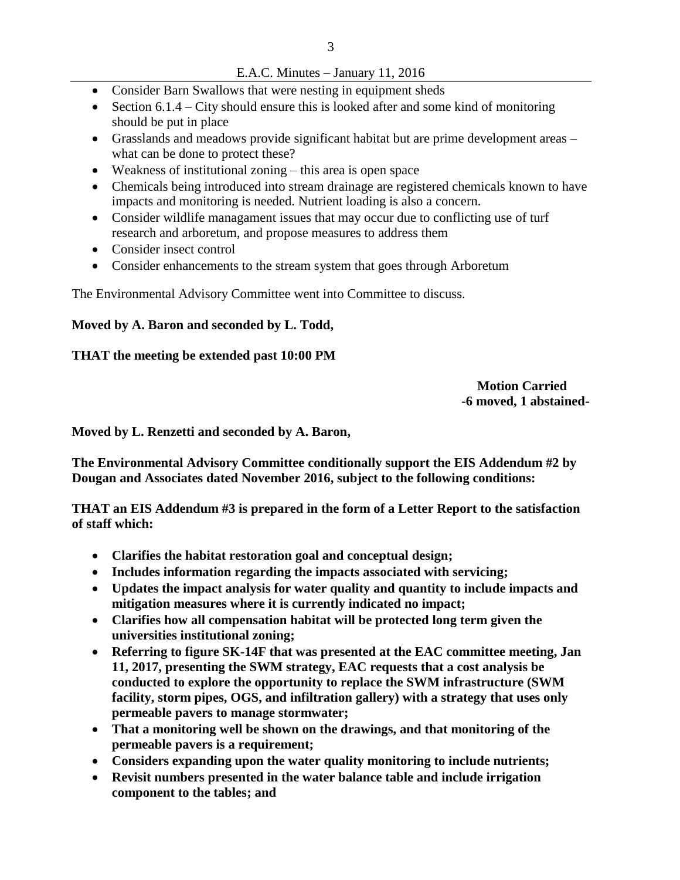- E.A.C. Minutes January 11, 2016
- Consider Barn Swallows that were nesting in equipment sheds
- Section  $6.1.4$  City should ensure this is looked after and some kind of monitoring should be put in place
- Grasslands and meadows provide significant habitat but are prime development areas what can be done to protect these?
- Weakness of institutional zoning this area is open space
- Chemicals being introduced into stream drainage are registered chemicals known to have impacts and monitoring is needed. Nutrient loading is also a concern.
- Consider wildlife managament issues that may occur due to conflicting use of turf research and arboretum, and propose measures to address them
- Consider insect control
- Consider enhancements to the stream system that goes through Arboretum

The Environmental Advisory Committee went into Committee to discuss.

## **Moved by A. Baron and seconded by L. Todd,**

## **THAT the meeting be extended past 10:00 PM**

 **Motion Carried -6 moved, 1 abstained-**

#### **Moved by L. Renzetti and seconded by A. Baron,**

**The Environmental Advisory Committee conditionally support the EIS Addendum #2 by Dougan and Associates dated November 2016, subject to the following conditions:** 

**THAT an EIS Addendum #3 is prepared in the form of a Letter Report to the satisfaction of staff which:** 

- **Clarifies the habitat restoration goal and conceptual design;**
- **Includes information regarding the impacts associated with servicing;**
- **Updates the impact analysis for water quality and quantity to include impacts and mitigation measures where it is currently indicated no impact;**
- **Clarifies how all compensation habitat will be protected long term given the universities institutional zoning;**
- **Referring to figure SK-14F that was presented at the EAC committee meeting, Jan 11, 2017, presenting the SWM strategy, EAC requests that a cost analysis be conducted to explore the opportunity to replace the SWM infrastructure (SWM facility, storm pipes, OGS, and infiltration gallery) with a strategy that uses only permeable pavers to manage stormwater;**
- **That a monitoring well be shown on the drawings, and that monitoring of the permeable pavers is a requirement;**
- **Considers expanding upon the water quality monitoring to include nutrients;**
- **Revisit numbers presented in the water balance table and include irrigation component to the tables; and**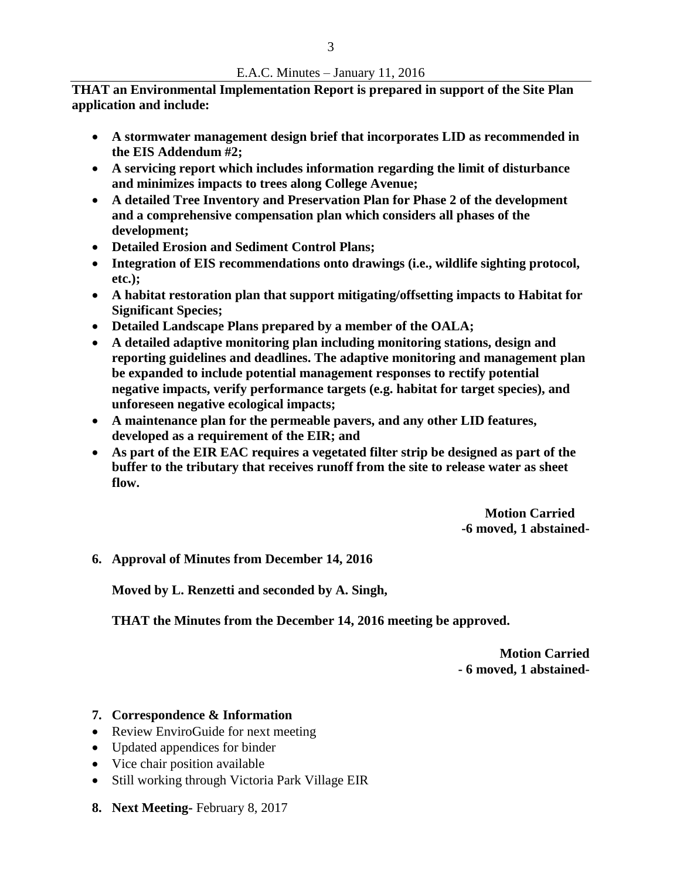**THAT an Environmental Implementation Report is prepared in support of the Site Plan application and include:** 

- **A stormwater management design brief that incorporates LID as recommended in the EIS Addendum #2;**
- **A servicing report which includes information regarding the limit of disturbance and minimizes impacts to trees along College Avenue;**
- **A detailed Tree Inventory and Preservation Plan for Phase 2 of the development and a comprehensive compensation plan which considers all phases of the development;**
- **Detailed Erosion and Sediment Control Plans;**
- **Integration of EIS recommendations onto drawings (i.e., wildlife sighting protocol, etc.);**
- **A habitat restoration plan that support mitigating/offsetting impacts to Habitat for Significant Species;**
- **Detailed Landscape Plans prepared by a member of the OALA;**
- **A detailed adaptive monitoring plan including monitoring stations, design and reporting guidelines and deadlines. The adaptive monitoring and management plan be expanded to include potential management responses to rectify potential negative impacts, verify performance targets (e.g. habitat for target species), and unforeseen negative ecological impacts;**
- **A maintenance plan for the permeable pavers, and any other LID features, developed as a requirement of the EIR; and**
- **As part of the EIR EAC requires a vegetated filter strip be designed as part of the buffer to the tributary that receives runoff from the site to release water as sheet flow.**

 **Motion Carried -6 moved, 1 abstained-**

**6. Approval of Minutes from December 14, 2016**

**Moved by L. Renzetti and seconded by A. Singh,**

**THAT the Minutes from the December 14, 2016 meeting be approved.**

**Motion Carried - 6 moved, 1 abstained-**

- **7. Correspondence & Information**
- Review EnviroGuide for next meeting
- Updated appendices for binder
- Vice chair position available
- Still working through Victoria Park Village EIR
- **8. Next Meeting-** February 8, 2017